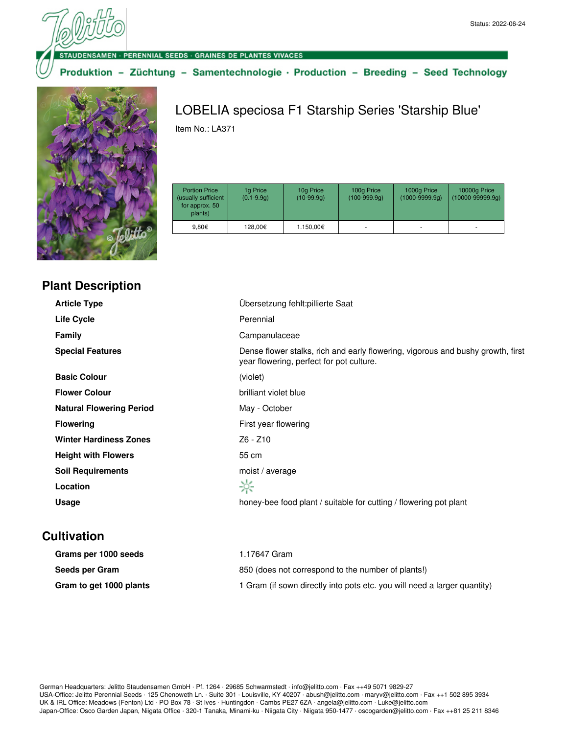· PERENNIAL SEEDS · GRAINES DE PLANTES VIVACES

Produktion - Züchtung - Samentechnologie · Production - Breeding - Seed Technology



## Item No.: LA371

LOBELIA speciosa F1 Starship Series 'Starship Blue'

| <b>Portion Price</b><br>(usually sufficient<br>for approx. 50<br>plants) | 1g Price<br>$(0.1 - 9.9q)$ | 10g Price<br>$(10-99.9q)$ | 100g Price<br>$(100-999.9q)$ | 1000g Price<br>$(1000 - 9999.9q)$ | 10000g Price<br>$(10000 - 99999.9q)$ |
|--------------------------------------------------------------------------|----------------------------|---------------------------|------------------------------|-----------------------------------|--------------------------------------|
| 9.80€                                                                    | 128.00€                    | 1.150,00€                 |                              |                                   | ۰                                    |

## **Plant Description**

| <b>Article Type</b>             | Übersetzung fehlt: pillierte Saat                                                                                           |
|---------------------------------|-----------------------------------------------------------------------------------------------------------------------------|
| Life Cycle                      | Perennial                                                                                                                   |
| <b>Family</b>                   | Campanulaceae                                                                                                               |
| <b>Special Features</b>         | Dense flower stalks, rich and early flowering, vigorous and bushy growth, first<br>year flowering, perfect for pot culture. |
| <b>Basic Colour</b>             | (violet)                                                                                                                    |
| <b>Flower Colour</b>            | brilliant violet blue                                                                                                       |
| <b>Natural Flowering Period</b> | May - October                                                                                                               |
| <b>Flowering</b>                | First year flowering                                                                                                        |
| <b>Winter Hardiness Zones</b>   | Z6 - Z10                                                                                                                    |
| <b>Height with Flowers</b>      | 55 cm                                                                                                                       |
| <b>Soil Requirements</b>        | moist / average                                                                                                             |
| Location                        | ☆                                                                                                                           |
| Usage                           | honey-bee food plant / suitable for cutting / flowering pot plant                                                           |
|                                 |                                                                                                                             |

## **Cultivation**

| Grams per 1000 seeds    | 1.17647 Gram                                                             |
|-------------------------|--------------------------------------------------------------------------|
| Seeds per Gram          | 850 (does not correspond to the number of plants!)                       |
| Gram to get 1000 plants | 1 Gram (if sown directly into pots etc. you will need a larger quantity) |